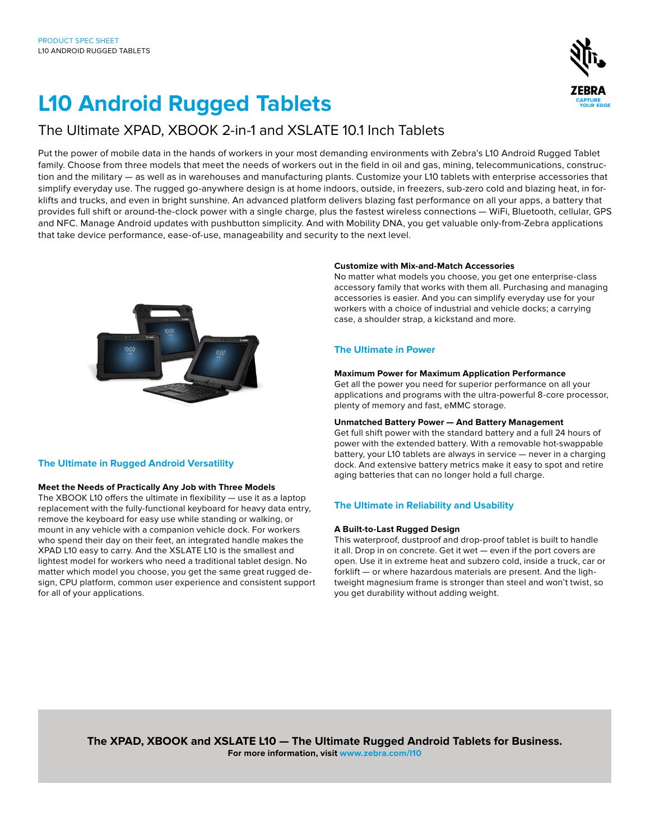## **L10 Android Rugged Tablets**

### The Ultimate XPAD, XBOOK 2-in-1 and XSLATE 10.1 Inch Tablets

Put the power of mobile data in the hands of workers in your most demanding environments with Zebra's L10 Android Rugged Tablet family. Choose from three models that meet the needs of workers out in the field in oil and gas, mining, telecommunications, construction and the military — as well as in warehouses and manufacturing plants. Customize your L10 tablets with enterprise accessories that simplify everyday use. The rugged go-anywhere design is at home indoors, outside, in freezers, sub-zero cold and blazing heat, in forklifts and trucks, and even in bright sunshine. An advanced platform delivers blazing fast performance on all your apps, a battery that provides full shift or around-the-clock power with a single charge, plus the fastest wireless connections — WiFi, Bluetooth, cellular, GPS and NFC. Manage Android updates with pushbutton simplicity. And with Mobility DNA, you get valuable only-from-Zebra applications that take device performance, ease-of-use, manageability and security to the next level.



#### **The Ultimate in Rugged Android Versatility**

#### **Meet the Needs of Practically Any Job with Three Models**

The XBOOK L10 offers the ultimate in flexibility — use it as a laptop replacement with the fully-functional keyboard for heavy data entry, remove the keyboard for easy use while standing or walking, or mount in any vehicle with a companion vehicle dock. For workers who spend their day on their feet, an integrated handle makes the XPAD L10 easy to carry. And the XSLATE L10 is the smallest and lightest model for workers who need a traditional tablet design. No matter which model you choose, you get the same great rugged design, CPU platform, common user experience and consistent support for all of your applications.

#### **Customize with Mix-and-Match Accessories**

No matter what models you choose, you get one enterprise-class accessory family that works with them all. Purchasing and managing accessories is easier. And you can simplify everyday use for your workers with a choice of industrial and vehicle docks; a carrying case, a shoulder strap, a kickstand and more.

#### **The Ultimate in Power**

#### **Maximum Power for Maximum Application Performance**

Get all the power you need for superior performance on all your applications and programs with the ultra-powerful 8-core processor, plenty of memory and fast, eMMC storage.

#### **Unmatched Battery Power — And Battery Management**

Get full shift power with the standard battery and a full 24 hours of power with the extended battery. With a removable hot-swappable battery, your L10 tablets are always in service — never in a charging dock. And extensive battery metrics make it easy to spot and retire aging batteries that can no longer hold a full charge.

#### **The Ultimate in Reliability and Usability**

#### **A Built-to-Last Rugged Design**

This waterproof, dustproof and drop-proof tablet is built to handle it all. Drop in on concrete. Get it wet — even if the port covers are open. Use it in extreme heat and subzero cold, inside a truck, car or forklift — or where hazardous materials are present. And the lightweight magnesium frame is stronger than steel and won't twist, so you get durability without adding weight.

**The XPAD, XBOOK and XSLATE L10 — The Ultimate Rugged Android Tablets for Business. For more information, visit www.zebra.com/l10**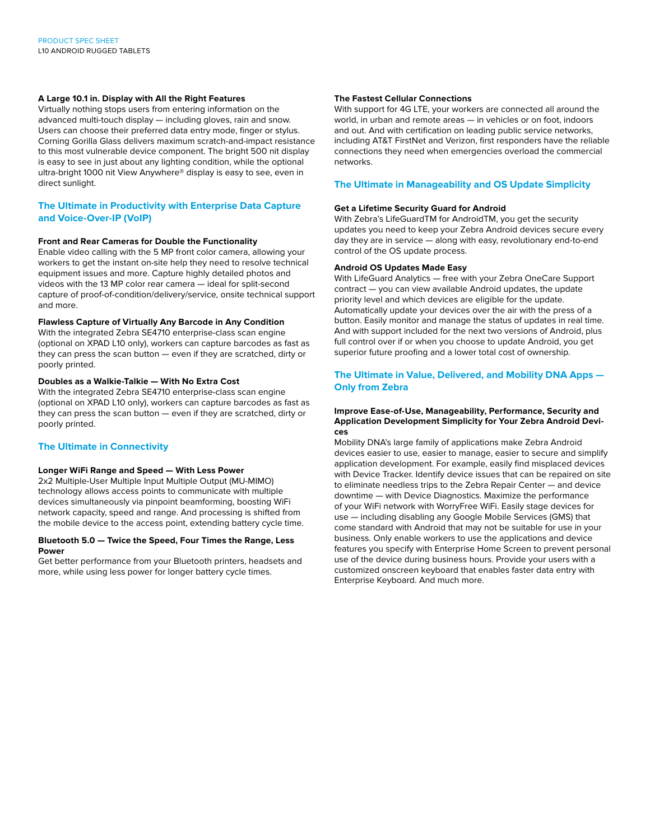#### **A Large 10.1 in. Display with All the Right Features**

Virtually nothing stops users from entering information on the advanced multi-touch display — including gloves, rain and snow. Users can choose their preferred data entry mode, finger or stylus. Corning Gorilla Glass delivers maximum scratch-and-impact resistance to this most vulnerable device component. The bright 500 nit display is easy to see in just about any lighting condition, while the optional ultra-bright 1000 nit View Anywhere® display is easy to see, even in direct sunlight.

#### **The Ultimate in Productivity with Enterprise Data Capture and Voice-Over-IP (VoIP)**

#### **Front and Rear Cameras for Double the Functionality**

Enable video calling with the 5 MP front color camera, allowing your workers to get the instant on-site help they need to resolve technical equipment issues and more. Capture highly detailed photos and videos with the 13 MP color rear camera — ideal for split-second capture of proof-of-condition/delivery/service, onsite technical support and more.

#### **Flawless Capture of Virtually Any Barcode in Any Condition**

With the integrated Zebra SE4710 enterprise-class scan engine (optional on XPAD L10 only), workers can capture barcodes as fast as they can press the scan button — even if they are scratched, dirty or poorly printed.

#### **Doubles as a Walkie-Talkie — With No Extra Cost**

With the integrated Zebra SE4710 enterprise-class scan engine (optional on XPAD L10 only), workers can capture barcodes as fast as they can press the scan button — even if they are scratched, dirty or poorly printed.

#### **The Ultimate in Connectivity**

#### **Longer WiFi Range and Speed — With Less Power**

2x2 Multiple-User Multiple Input Multiple Output (MU-MIMO) technology allows access points to communicate with multiple devices simultaneously via pinpoint beamforming, boosting WiFi network capacity, speed and range. And processing is shifted from the mobile device to the access point, extending battery cycle time.

#### **Bluetooth 5.0 — Twice the Speed, Four Times the Range, Less Power**

Get better performance from your Bluetooth printers, headsets and more, while using less power for longer battery cycle times.

#### **The Fastest Cellular Connections**

With support for 4G LTE, your workers are connected all around the world, in urban and remote areas — in vehicles or on foot, indoors and out. And with certification on leading public service networks, including AT&T FirstNet and Verizon, first responders have the reliable connections they need when emergencies overload the commercial networks.

#### **The Ultimate in Manageability and OS Update Simplicity**

#### **Get a Lifetime Security Guard for Android**

With Zebra's LifeGuardTM for AndroidTM, you get the security updates you need to keep your Zebra Android devices secure every day they are in service — along with easy, revolutionary end-to-end control of the OS update process.

#### **Android OS Updates Made Easy**

With LifeGuard Analytics — free with your Zebra OneCare Support contract — you can view available Android updates, the update priority level and which devices are eligible for the update. Automatically update your devices over the air with the press of a button. Easily monitor and manage the status of updates in real time. And with support included for the next two versions of Android, plus full control over if or when you choose to update Android, you get superior future proofing and a lower total cost of ownership.

#### **The Ultimate in Value, Delivered, and Mobility DNA Apps — Only from Zebra**

#### **Improve Ease-of-Use, Manageability, Performance, Security and Application Development Simplicity for Your Zebra Android Devices**

Mobility DNA's large family of applications make Zebra Android devices easier to use, easier to manage, easier to secure and simplify application development. For example, easily find misplaced devices with Device Tracker. Identify device issues that can be repaired on site to eliminate needless trips to the Zebra Repair Center — and device downtime — with Device Diagnostics. Maximize the performance of your WiFi network with WorryFree WiFi. Easily stage devices for use — including disabling any Google Mobile Services (GMS) that come standard with Android that may not be suitable for use in your business. Only enable workers to use the applications and device features you specify with Enterprise Home Screen to prevent personal use of the device during business hours. Provide your users with a customized onscreen keyboard that enables faster data entry with Enterprise Keyboard. And much more.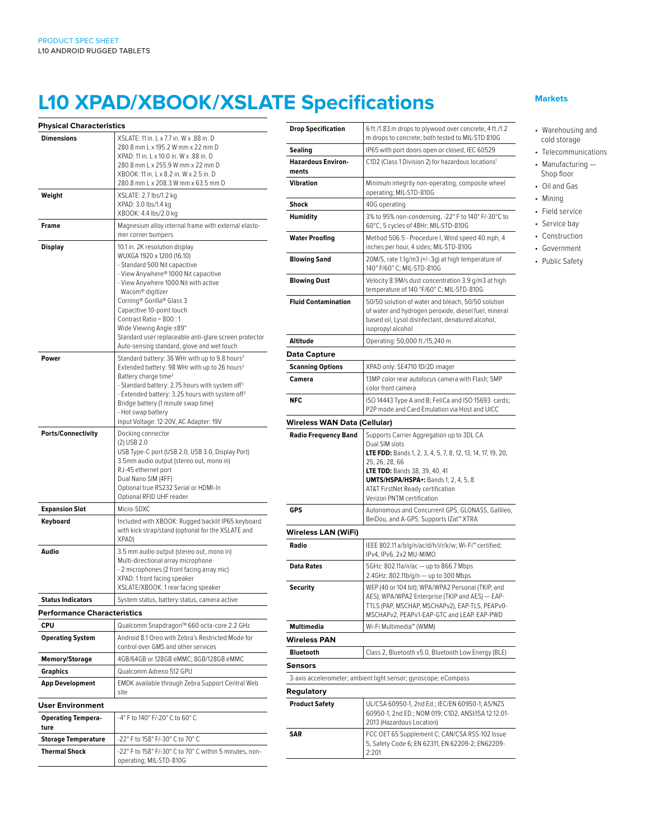# **L10 XPAD/XBOOK/XSLATE Specifications**

| <b>Physical Characteristics</b>    |                                                                                                                                                                                                                                                                                                                                                                                                                        |
|------------------------------------|------------------------------------------------------------------------------------------------------------------------------------------------------------------------------------------------------------------------------------------------------------------------------------------------------------------------------------------------------------------------------------------------------------------------|
| <b>Dimensions</b>                  | XSI ATF: 11 in. I x 7.7 in. W x .88 in. D.<br>280.8 mm L x 195.2 W mm x 22 mm D<br>XPAD: 11 in. L x 10.0 in. W x .88 in. D<br>280.8 mm L x 255.9 W mm x 22 mm D<br>XBOOK: 11 in. L x 8.2 in. W x 2.5 in. D<br>280.8 mm L x 208.3 W mm x 63.5 mm D                                                                                                                                                                      |
| Weight                             | XSLATE: 2.7 lbs/1.2 kg<br>XPAD: 3.0 lbs/1.4 kg<br>XBOOK: 4.4 lbs/2.0 kg                                                                                                                                                                                                                                                                                                                                                |
| Frame                              | Magnesium alloy internal frame with external elasto-<br>mer corner bumpers                                                                                                                                                                                                                                                                                                                                             |
| Display                            | 10.1 in. 2K resolution display<br>WUXGA 1920 x 1200 (16:10)<br>- Standard 500 Nit capacitive<br>- View Anywhere® 1000 Nit capacitive<br>- View Anywhere 1000 Nit with active<br>Wacom® digitizer<br>Corning® Gorilla® Glass 3<br>Capacitive 10-point touch<br>Contrast Ratio = 800:1<br>Wide Viewing Angle ±89°<br>Standard user replaceable anti-glare screen protector<br>Auto-sensing standard, glove and wet touch |
| Power                              | Standard battery: 36 WHr with up to 9.8 hours <sup>2</sup><br>Extended battery: 98 WHr with up to 26 hours <sup>2</sup><br>Battery charge time <sup>2</sup><br>- Standard battery: 2.75 hours with system off <sup>3</sup><br>- Extended battery: 3.25 hours with system off <sup>3</sup><br>Bridge battery (1 minute swap time)<br>- Hot swap battery<br>Input Voltage: 12-20V, AC Adapter: 19V                       |
| <b>Ports/Connectivity</b>          | Docking connector<br>$(2)$ USB 2.0<br>USB Type-C port (USB 2.0, USB 3.0, Display Port)<br>3.5mm audio output (stereo out, mono in)<br>RJ-45 ethernet port<br>Dual Nano SIM (4FF)<br>Optional true RS232 Serial or HDMI-In<br>Optional RFID UHF reader                                                                                                                                                                  |
| <b>Expansion Slot</b>              | Micro-SDXC                                                                                                                                                                                                                                                                                                                                                                                                             |
| Keyboard                           | Included with XBOOK: Rugged backlit IP65 keyboard<br>with kick strap/stand (optional for the XSLATE and<br>XPAD)                                                                                                                                                                                                                                                                                                       |
| Audio                              | 3.5 mm audio output (stereo out, mono in)<br>Multi-directional array microphone<br>- 2 microphones (2 front facing array mic)<br>XPAD: 1 front facing speaker<br>XSLATE/XBOOK: 1 rear facing speaker                                                                                                                                                                                                                   |
| <b>Status Indicators</b>           | System status, battery status, camera active                                                                                                                                                                                                                                                                                                                                                                           |
| <b>Performance Characteristics</b> |                                                                                                                                                                                                                                                                                                                                                                                                                        |
| <b>CPU</b>                         | Qualcomm Snapdragon™ 660 octa-core 2.2 GHz                                                                                                                                                                                                                                                                                                                                                                             |
| <b>Operating System</b>            | Android 8.1 Oreo with Zebra's Restricted Mode for<br>control over GMS and other services                                                                                                                                                                                                                                                                                                                               |
| <b>Memory/Storage</b>              | 4GB/64GB or 128GB eMMC; 8GB/128GB eMMC                                                                                                                                                                                                                                                                                                                                                                                 |
| Graphics                           | Qualcomm Adreno 512 GPU                                                                                                                                                                                                                                                                                                                                                                                                |
| <b>App Development</b>             | <b>EMDK</b> available through Zebra Support Central Web<br>site                                                                                                                                                                                                                                                                                                                                                        |
| <b>User Environment</b>            |                                                                                                                                                                                                                                                                                                                                                                                                                        |
| <b>Operating Tempera-</b><br>ture  | -4° F to 140° F/-20° C to 60° C                                                                                                                                                                                                                                                                                                                                                                                        |
| <b>Storage Temperature</b>         | -22° F to 158° F/-30° C to 70° C                                                                                                                                                                                                                                                                                                                                                                                       |
| <b>Thermal Shock</b>               | -22° F to 158° F/-30° C to 70° C within 5 minutes, non-                                                                                                                                                                                                                                                                                                                                                                |

| Drop Specification                                                           | 6 ft./1.83 m drops to plywood over concrete, 4 ft./1.2<br>m drops to concrete; both tested to MIL-STD 810G                                                                                                                                                |
|------------------------------------------------------------------------------|-----------------------------------------------------------------------------------------------------------------------------------------------------------------------------------------------------------------------------------------------------------|
| Sealing                                                                      | IP65 with port doors open or closed, IEC 60529                                                                                                                                                                                                            |
| <b>Hazardous Environ-</b><br>ments                                           | C1D2 (Class 1 Division 2) for hazardous locations <sup>1</sup>                                                                                                                                                                                            |
| Vibration                                                                    | Minimum integrity non-operating, composite wheel<br>operating; MIL-STD-810G                                                                                                                                                                               |
| Shock                                                                        | 40G operating                                                                                                                                                                                                                                             |
| <b>Humidity</b>                                                              | 3% to 95% non-condensing, -22° F to 140° F/-30°C to<br>60°C, 5 cycles of 48Hr; MIL-STD-810G                                                                                                                                                               |
| Water Proofing                                                               | Method 506.5 - Procedure I, Wind speed 40 mph, 4<br>inches per hour, 4 sides; MIL-STD-810G                                                                                                                                                                |
| <b>Blowing Sand</b>                                                          | 20M/S, rate 1.1g/m3 (+/-.3g) at high temperature of<br>140° F/60° C; MIL-STD-810G                                                                                                                                                                         |
| <b>Blowing Dust</b>                                                          | Velocity 8.9M/s dust concentration 3.9 g/m3 at high<br>temperature of 140 °F/60° C; MIL-STD-810G                                                                                                                                                          |
| <b>Fluid Contamination</b>                                                   | 50/50 solution of water and bleach, 50/50 solution<br>of water and hydrogen peroxide, diesel fuel, mineral<br>based oil, Lysol disinfectant, denatured alcohol,<br>isopropyl alcohol                                                                      |
| Altitude                                                                     | Operating: 50,000 ft./15,240 m                                                                                                                                                                                                                            |
| <b>Data Capture</b>                                                          |                                                                                                                                                                                                                                                           |
| Scanning Options                                                             | XPAD only: SE4710 1D/2D imager                                                                                                                                                                                                                            |
| Camera                                                                       | 13MP color rear autofocus camera with Flash; 5MP<br>color front camera                                                                                                                                                                                    |
| <b>NFC</b>                                                                   | ISO 14443 Type A and B; FeliCa and ISO 15693 cards;<br>P2P mode and Card Emulation via Host and UICC                                                                                                                                                      |
| Wireless WAN Data (Cellular)                                                 |                                                                                                                                                                                                                                                           |
|                                                                              | Dual SIM slots<br><b>LTE FDD:</b> Bands 1, 2, 3, 4, 5, 7, 8, 12, 13, 14, 17, 19, 20,<br>25, 26, 28, 66<br>LTE TDD: Bands 38, 39, 40, 41<br><b>UMTS/HSPA/HSPA+:</b> Bands 1, 2, 4, 5, 8<br>AT&T FirstNet Ready certification<br>Verizon PNTM certification |
| <b>GPS</b>                                                                   | Autonomous and Concurrent GPS, GLONASS, Gallileo,<br>BeiDou, and A-GPS. Supports IZat™ XTRA                                                                                                                                                               |
| Wireless LAN (WiFi)                                                          |                                                                                                                                                                                                                                                           |
| Radio                                                                        | IEEE 802.11 a/b/g/n/ac/d/h/i/r/k/w; Wi-Fi™ certified;<br>IPv4, IPv6, 2x2 MU-MIMO                                                                                                                                                                          |
| <b>Data Rates</b>                                                            | 5GHz: 802.11a/n/ac - up to 866.7 Mbps<br>2.4GHz: 802.11b/g/n — up to 300 Mbps                                                                                                                                                                             |
| Security                                                                     | WEP (40 or 104 bit); WPA/WPA2 Personal (TKIP, and<br>AES); WPA/WPA2 Enterprise (TKIP and AES) — EAP-                                                                                                                                                      |
|                                                                              | TTLS (PAP, MSCHAP, MSCHAPv2), EAP-TLS, PEAPv0-<br>MSCHAPv2, PEAPv1-EAP-GTC and LEAP. EAP-PWD                                                                                                                                                              |
| Multimedia                                                                   | Wi-Fi Multimedia™ (WMM)                                                                                                                                                                                                                                   |
|                                                                              |                                                                                                                                                                                                                                                           |
| <b>Bluetooth</b>                                                             | Class 2, Bluetooth v5.0, Bluetooth Low Energy (BLE)                                                                                                                                                                                                       |
|                                                                              |                                                                                                                                                                                                                                                           |
|                                                                              | 3-axis accelerometer; ambient light sensor; gyroscope; eCompass                                                                                                                                                                                           |
|                                                                              |                                                                                                                                                                                                                                                           |
| <b>Wireless PAN</b><br>Sensors<br><b>Regulatory</b><br><b>Product Safety</b> | UL/CSA 60950-1, 2nd Ed.; IEC/EN 60950-1; AS/NZS<br>60950-1, 2nd ED.; NOM 019; C1D2, ANSI/ISA 12.12.01-<br>2013 (Hazardous Location)                                                                                                                       |

#### **Markets**

- Warehousing and cold storage
- Telecommunications
- Manufacturing Shop floor
- Oil and Gas
- Mining
- Field service
- Service bay
- Construction
- Government
- Public Safety